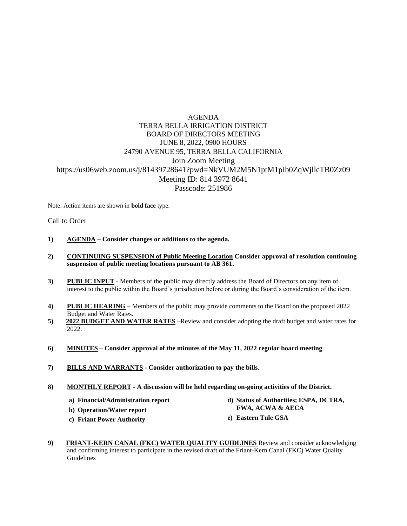## AGENDA TERRA BELLA IRRIGATION DISTRICT BOARD OF DIRECTORS MEETING JUNE 8, 2022, 0900 HOURS 24790 AVENUE 95, TERRA BELLA CALIFORNIA Join Zoom Meeting https://us06web.zoom.us/j/81439728641?pwd=NkVUM2M5N1ptM1pIb0ZqWjllcTB0Zz09 Meeting ID: 814 3972 8641 Passcode: 251986

Note: Action items are shown in **bold face** type.

Call to Order

- **1) AGENDA – Consider changes or additions to the agenda.**
- **2) CONTINUING SUSPENSION of Public Meeting Location Consider approval of resolution continuing suspension of public meeting locations pursuant to AB 361.**
- **3) PUBLIC INPUT** Members of the public may directly address the Board of Directors on any item of interest to the public within the Board's jurisdiction before or during the Board's consideration of the item.
- **4) PUBLIC HEARING** Members of the public may provide comments to the Board on the proposed 2022 Budget and Water Rates.
- **5) 2022 BUDGET AND WATER RATES** –Review and consider adopting the draft budget and water rates for 2022.
- **6) MINUTES – Consider approval of the minutes of the May 11, 2022 regular board meeting**.
- **7) BILLS AND WARRANTS - Consider authorization to pay the bills**.
- **8) MONTHLY REPORT - A discussion will be held regarding on-going activities of the District.**
	- **a) Financial/Administration report**
	- **b) Operation/Water report**
	- **c) Friant Power Authority**
- **d) Status of Authorities; ESPA, DCTRA, FWA, ACWA & AECA**
- **e) Eastern Tule GSA**
- **9) FRIANT-KERN CANAL (FKC) WATER QUALITY GUIDLINES** Review and consider acknowledging and confirming interest to participate in the revised draft of the Friant-Kern Canal (FKC) Water Quality Guidelines